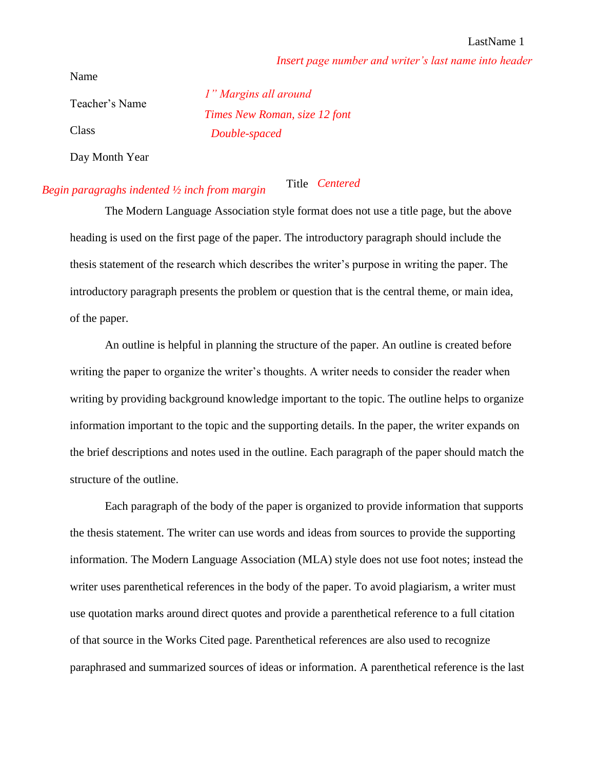*Insert page number and writer's last name into header*

Name

Teacher's Name Class

*Double-spaced Times New Roman, size 12 font 1" Margins all around*

Day Month Year

## *Begin paragraghs indented ½ inch from margin* Title *Centered*

The Modern Language Association style format does not use a title page, but the above heading is used on the first page of the paper. The introductory paragraph should include the thesis statement of the research which describes the writer's purpose in writing the paper. The introductory paragraph presents the problem or question that is the central theme, or main idea, of the paper.

An outline is helpful in planning the structure of the paper. An outline is created before writing the paper to organize the writer's thoughts. A writer needs to consider the reader when writing by providing background knowledge important to the topic. The outline helps to organize information important to the topic and the supporting details. In the paper, the writer expands on the brief descriptions and notes used in the outline. Each paragraph of the paper should match the structure of the outline.

Each paragraph of the body of the paper is organized to provide information that supports the thesis statement. The writer can use words and ideas from sources to provide the supporting information. The Modern Language Association (MLA) style does not use foot notes; instead the writer uses parenthetical references in the body of the paper. To avoid plagiarism, a writer must use quotation marks around direct quotes and provide a parenthetical reference to a full citation of that source in the Works Cited page. Parenthetical references are also used to recognize paraphrased and summarized sources of ideas or information. A parenthetical reference is the last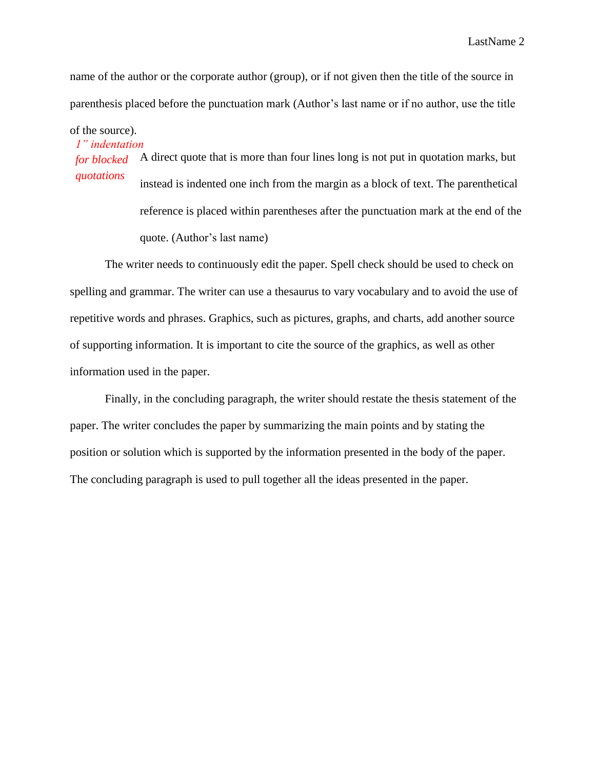name of the author or the corporate author (group), or if not given then the title of the source in parenthesis placed before the punctuation mark (Author's last name or if no author, use the title

of the source).

*1" indentation for blocked*  A direct quote that is more than four lines long is not put in quotation marks, but *quotations* instead is indented one inch from the margin as a block of text. The parenthetical reference is placed within parentheses after the punctuation mark at the end of the quote. (Author's last name)

The writer needs to continuously edit the paper. Spell check should be used to check on spelling and grammar. The writer can use a thesaurus to vary vocabulary and to avoid the use of repetitive words and phrases. Graphics, such as pictures, graphs, and charts, add another source of supporting information. It is important to cite the source of the graphics, as well as other information used in the paper.

Finally, in the concluding paragraph, the writer should restate the thesis statement of the paper. The writer concludes the paper by summarizing the main points and by stating the position or solution which is supported by the information presented in the body of the paper. The concluding paragraph is used to pull together all the ideas presented in the paper.